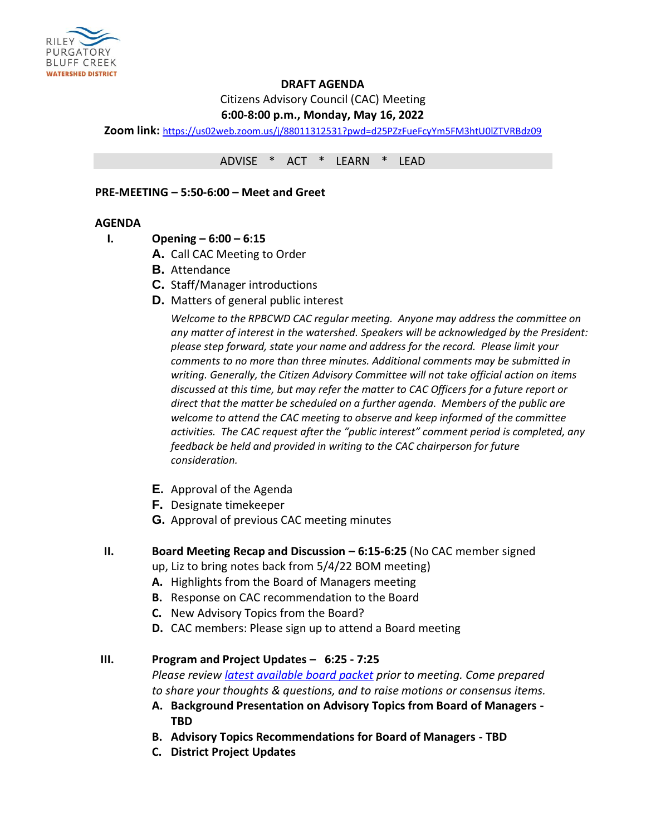

# **DRAFT AGENDA**

Citizens Advisory Council (CAC) Meeting

# **6:00-8:00 p.m., Monday, May 16, 2022**

**Zoom link:** <https://us02web.zoom.us/j/88011312531?pwd=d25PZzFueFcyYm5FM3htU0lZTVRBdz09>

ADVISE \* ACT \* LEARN \* LEAD

#### **PRE-MEETING – 5:50-6:00 – Meet and Greet**

#### **AGENDA**

- **I. Opening – 6:00 – 6:15**
	- **A.** Call CAC Meeting to Order
	- **B.** Attendance
	- **C.** Staff/Manager introductions
	- **D.** Matters of general public interest

*Welcome to the RPBCWD CAC regular meeting. Anyone may address the committee on any matter of interest in the watershed. Speakers will be acknowledged by the President: please step forward, state your name and address for the record. Please limit your comments to no more than three minutes. Additional comments may be submitted in writing. Generally, the Citizen Advisory Committee will not take official action on items discussed at this time, but may refer the matter to CAC Officers for a future report or direct that the matter be scheduled on a further agenda. Members of the public are welcome to attend the CAC meeting to observe and keep informed of the committee activities. The CAC request after the "public interest" comment period is completed, any feedback be held and provided in writing to the CAC chairperson for future consideration.*

- **E.** Approval of the Agenda
- **F.** Designate timekeeper
- **G.** Approval of previous CAC meeting minutes
- **II. Board Meeting Recap and Discussion – 6:15-6:25** (No CAC member signed
	- up, Liz to bring notes back from 5/4/22 BOM meeting)
	- **A.** Highlights from the Board of Managers meeting
	- **B.** Response on CAC recommendation to the Board
	- **C.** New Advisory Topics from the Board?
	- **D.** CAC members: Please sign up to attend a Board meeting

# **III. Program and Project Updates – 6:25 - 7:25**

*Please review [latest available board packet](https://rpbcwd.org/library/board-agendas-packets-minutes) prior to meeting. Come prepared to share your thoughts & questions, and to raise motions or consensus items.*

- **A. Background Presentation on Advisory Topics from Board of Managers - TBD**
- **B. Advisory Topics Recommendations for Board of Managers - TBD**
- **C. District Project Updates**